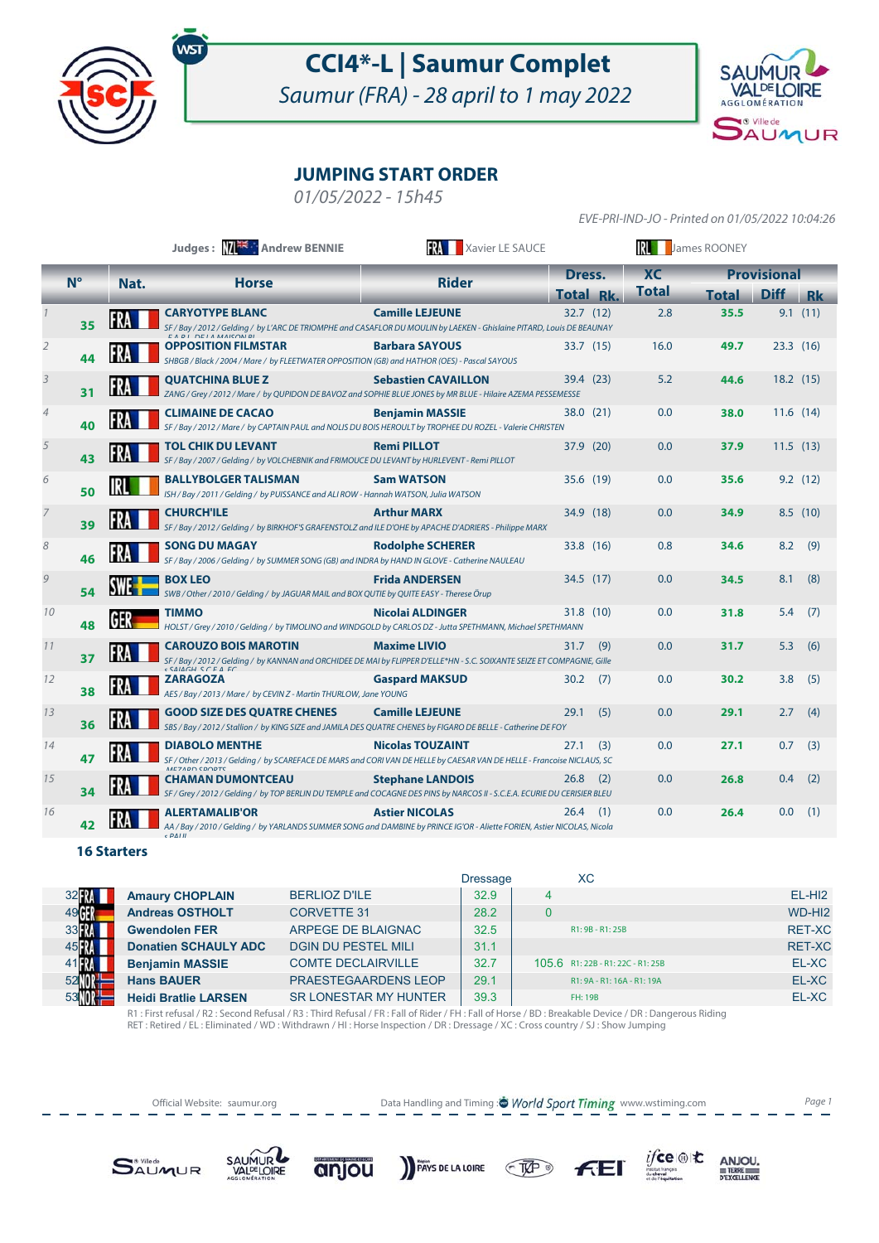

## **CCI4\*-L | Saumur Complet**

Saumur (FRA) - 28 april to 1 may 2022



### **JUMPING START ORDER**

01/05/2022 - 15h45

EVE-PRI-IND-JO - Printed on 01/05/2022 10:04:26

|                |             |      | Judges: MA Andrew BENNIE                                                                                                                                                           | Xavier LE SAUCE            | James ROONEY    |     |              |                    |             |           |
|----------------|-------------|------|------------------------------------------------------------------------------------------------------------------------------------------------------------------------------------|----------------------------|-----------------|-----|--------------|--------------------|-------------|-----------|
|                | $N^{\circ}$ | Nat. | <b>Horse</b>                                                                                                                                                                       | <b>Rider</b>               | Dress.          |     | <b>XC</b>    | <b>Provisional</b> |             |           |
|                |             |      |                                                                                                                                                                                    |                            | <b>Total Rk</b> |     | <b>Total</b> | <b>Total</b>       | <b>Diff</b> | <b>Rk</b> |
|                | 35          |      | <b>CARYOTYPE BLANC</b><br>SF / Bay / 2012 / Gelding / by L'ARC DE TRIOMPHE and CASAFLOR DU MOULIN by LAEKEN - Ghislaine PITARD, Louis DE BEAUNAY<br>EADI DEIA MAICONDI             | <b>Camille LEJEUNE</b>     | 32.7 (12)       |     | 2.8          | 35.5               |             | 9.1(11)   |
| 2              | 44          |      | <b>OPPOSITION FILMSTAR</b><br>SHBGB / Black / 2004 / Mare / by FLEETWATER OPPOSITION (GB) and HATHOR (OES) - Pascal SAYOUS                                                         | <b>Barbara SAYOUS</b>      | 33.7 (15)       |     | 16.0         | 49.7               | 23.3(16)    |           |
| 3              | 31          |      | <b>QUATCHINA BLUE Z</b><br>ZANG / Grey / 2012 / Mare / by QUPIDON DE BAVOZ and SOPHIE BLUE JONES by MR BLUE - Hilaire AZEMA PESSEMESSE                                             | <b>Sebastien CAVAILLON</b> | 39.4 (23)       |     | 5.2          | 44.6               | 18.2(15)    |           |
| $\overline{4}$ | 40          |      | <b>CLIMAINE DE CACAO</b><br>SF / Bay / 2012 / Mare / by CAPTAIN PAUL and NOLIS DU BOIS HEROULT by TROPHEE DU ROZEL - Valerie CHRISTEN                                              | <b>Benjamin MASSIE</b>     | 38.0(21)        |     | 0.0          | 38.0               | 11.6(14)    |           |
| 5              | 43          |      | TOL CHIK DU LEVANT<br>SF / Bay / 2007 / Gelding / by VOLCHEBNIK and FRIMOUCE DU LEVANT by HURLEVENT - Remi PILLOT                                                                  | <b>Remi PILLOT</b>         | 37.9 (20)       |     | 0.0          | 37.9               | 11.5(13)    |           |
| 6              | 50          |      | <b>BALLYBOLGER TALISMAN</b><br>ISH / Bay / 2011 / Gelding / by PUISSANCE and ALI ROW - Hannah WATSON, Julia WATSON                                                                 | <b>Sam WATSON</b>          | 35.6 (19)       |     | 0.0          | 35.6               |             | 9.2(12)   |
|                | 39          |      | <b>CHURCH'ILE</b><br>SF / Bay / 2012 / Gelding / by BIRKHOF'S GRAFENSTOLZ and ILE D'OHE by APACHE D'ADRIERS - Philippe MARX                                                        | <b>Arthur MARX</b>         | 34.9 (18)       |     | 0.0          | 34.9               |             | 8.5(10)   |
| 8              | 46          |      | <b>SONG DU MAGAY</b><br>SF / Bay / 2006 / Gelding / by SUMMER SONG (GB) and INDRA by HAND IN GLOVE - Catherine NAULEAU                                                             | <b>Rodolphe SCHERER</b>    | 33.8 (16)       |     | 0.8          | 34.6               | 8.2         | (9)       |
| 9              | 54          |      | <b>BOX LEO</b><br>SWB / Other / 2010 / Gelding / by JAGUAR MAIL and BOX QUTIE by QUITE EASY - Therese Örup                                                                         | <b>Frida ANDERSEN</b>      | 34.5 (17)       |     | 0.0          | 34.5               | 8.1         | (8)       |
| 10             | 48          |      | <b>TIMMO</b><br>HOLST/Grey/2010/Gelding/ by TIMOLINO and WINDGOLD by CARLOS DZ - Jutta SPETHMANN, Michael SPETHMANN                                                                | Nicolai ALDINGER           | 31.8 (10)       |     | 0.0          | 31.8               | 5.4         | (7)       |
| 11             | 37          |      | <b>CAROUZO BOIS MAROTIN</b><br>SF / Bay / 2012 / Gelding / by KANNAN and ORCHIDEE DE MAI by FLIPPER D'ELLE*HN - S.C. SOIXANTE SEIZE ET COMPAGNIE, Gille<br>C A I A C H C C F A F C | <b>Maxime LIVIO</b>        | 31.7            | (9) | 0.0          | 31.7               | 5.3         | (6)       |
| 12             | 38          |      | <b>ZARAGOZA</b><br>AES / Bay / 2013 / Mare / by CEVIN Z - Martin THURLOW, Jane YOUNG                                                                                               | <b>Gaspard MAKSUD</b>      | 30.2            | (7) | 0.0          | 30.2               | 3.8         | (5)       |
| 13             | 36          |      | <b>GOOD SIZE DES QUATRE CHENES</b><br>SBS / Bay / 2012 / Stallion / by KING SIZE and JAMILA DES QUATRE CHENES by FIGARO DE BELLE - Catherine DE FOY                                | <b>Camille LEJEUNE</b>     | 29.1            | (5) | 0.0          | 29.1               | 2.7         | (4)       |
| 14             | 47          |      | <b>DIABOLO MENTHE</b><br>SF / Other / 2013 / Gelding / by SCAREFACE DE MARS and CORI VAN DE HELLE by CAESAR VAN DE HELLE - Francoise NICLAUS, SC<br>MEZADO COOPTC                  | <b>Nicolas TOUZAINT</b>    | 27.1            | (3) | 0.0          | 27.1               | 0.7         | (3)       |
| 15             | 34          |      | <b>CHAMAN DUMONTCEAU</b><br>SF / Grey / 2012 / Gelding / by TOP BERLIN DU TEMPLE and COCAGNE DES PINS by NARCOS II - S.C.E.A. ECURIE DU CERISIER BLEU                              | <b>Stephane LANDOIS</b>    | 26.8            | (2) | 0.0          | 26.8               | 0.4         | (2)       |
| 16             | 42          |      | <b>ALERTAMALIB'OR</b><br>AA / Bay / 2010 / Gelding / by YARLANDS SUMMER SONG and DAMBINE by PRINCE IG'OR - Aliette FORIEN, Astier NICOLAS, Nicola<br>$c$ DAI II                    | <b>Astier NICOLAS</b>      | 26.4            | (1) | 0.0          | 26.4               | 0.0         | (1)       |

#### **16 Starters**

|                   |                             |                              | <b>Dressage</b> | XC                                |                    |
|-------------------|-----------------------------|------------------------------|-----------------|-----------------------------------|--------------------|
| 32 FM             | <b>Amaury CHOPLAIN</b>      | <b>BERLIOZ D'ILE</b>         | 32.9            |                                   | $EL-HI2$           |
| 49 <b>61</b>      | <b>Andreas OSTHOLT</b>      | <b>CORVETTE 31</b>           | 28.2            |                                   | WD-HI <sub>2</sub> |
| 33 <b>R</b>       | <b>Gwendolen FER</b>        | ARPEGE DE BLAIGNAC           | 32.5            | R1: 9B - R1: 25B                  | <b>RET-XC</b>      |
| 45 R.             | <b>Donatien SCHAULY ADC</b> | <b>DGIN DU PESTEL MILI</b>   | 31.1            |                                   | <b>RET-XC</b>      |
| $41$ $\mathbb{R}$ | <b>Benjamin MASSIE</b>      | <b>COMTE DECLAIRVILLE</b>    | 32.7            | 105.6 R1: 22B - R1: 22C - R1: 25B | EL-XC              |
| 52M               | <b>Hans BAUER</b>           | <b>PRAESTEGAARDENS LEOP</b>  | 29.1            | R1: 9A - R1: 16A - R1: 19A        | EL-XC              |
|                   | <b>Heidi Bratlie LARSEN</b> | <b>SR LONESTAR MY HUNTER</b> | 39.3            | FH: 19B                           | EL-XC              |
|                   |                             |                              |                 |                                   |                    |

R1 : First refusal / R2 : Second Refusal / R3 : Third Refusal / FR : Fall of Rider / FH : Fall of Horse / BD : Breakable Device / DR : Dangerous Riding<br>RET : Retired / EL : Eliminated / WD : Withdrawn / HI : Horse Inspecti

Official Website: saumur.org **Data Handling and Timing : World Sport Timing** www.wstiming.com Page 1

 $C$ 

ifce向も

ANJOU.

TERRE<br>D'EXCELLENCE